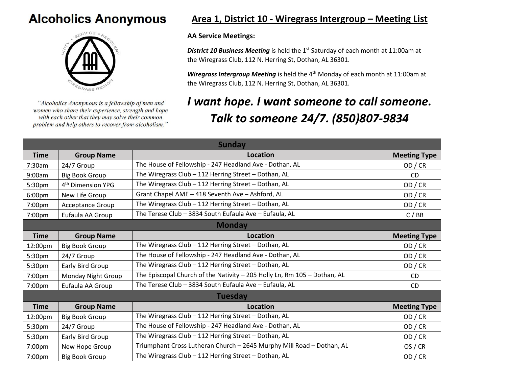## **Alcoholics Anonymous**



"Alcoholics Anonymous is a fellowship of men and women who share their experience, strength and hope with each other that they may solve their common problem and help others to recover from alcoholism."

## **Area 1, District 10 - Wiregrass Intergroup – Meeting List**

## **AA Service Meetings:**

**District 10 Business Meeting** is held the 1<sup>st</sup> Saturday of each month at 11:00am at the Wiregrass Club, 112 N. Herring St, Dothan, AL 36301.

*Wiregrass Intergroup Meeting* is held the 4<sup>th</sup> Monday of each month at 11:00am at the Wiregrass Club, 112 N. Herring St, Dothan, AL 36301.

## *I want hope. I want someone to call someone. Talk to someone 24/7. (850)807-9834*

| <b>Sunday</b>  |                               |                                                                          |                     |  |  |
|----------------|-------------------------------|--------------------------------------------------------------------------|---------------------|--|--|
| <b>Time</b>    | <b>Group Name</b>             | <b>Location</b>                                                          | <b>Meeting Type</b> |  |  |
| 7:30am         | 24/7 Group                    | The House of Fellowship - 247 Headland Ave - Dothan, AL                  | OD / CR             |  |  |
| 9:00am         | <b>Big Book Group</b>         | The Wiregrass Club - 112 Herring Street - Dothan, AL                     | <b>CD</b>           |  |  |
| 5:30pm         | 4 <sup>th</sup> Dimension YPG | The Wiregrass Club - 112 Herring Street - Dothan, AL                     | OD/CR               |  |  |
| 6:00pm         | New Life Group                | Grant Chapel AME - 418 Seventh Ave - Ashford, AL                         | OD/CR               |  |  |
| 7:00pm         | Acceptance Group              | The Wiregrass Club - 112 Herring Street - Dothan, AL                     | OD/CR               |  |  |
| 7:00pm         | Eufaula AA Group              | The Terese Club - 3834 South Eufaula Ave - Eufaula, AL                   | C/BB                |  |  |
| <b>Monday</b>  |                               |                                                                          |                     |  |  |
| <b>Time</b>    | <b>Group Name</b>             | <b>Location</b>                                                          | <b>Meeting Type</b> |  |  |
| 12:00pm        | <b>Big Book Group</b>         | The Wiregrass Club - 112 Herring Street - Dothan, AL                     | OD / CR             |  |  |
| 5:30pm         | 24/7 Group                    | The House of Fellowship - 247 Headland Ave - Dothan, AL                  | OD/CR               |  |  |
| 5:30pm         | Early Bird Group              | The Wiregrass Club - 112 Herring Street - Dothan, AL                     | OD/CR               |  |  |
| 7:00pm         | Monday Night Group            | The Episcopal Church of the Nativity - 205 Holly Ln, Rm 105 - Dothan, AL | <b>CD</b>           |  |  |
| 7:00pm         | Eufaula AA Group              | The Terese Club - 3834 South Eufaula Ave - Eufaula, AL                   | <b>CD</b>           |  |  |
| <b>Tuesday</b> |                               |                                                                          |                     |  |  |
| <b>Time</b>    | <b>Group Name</b>             | <b>Location</b>                                                          | <b>Meeting Type</b> |  |  |
| 12:00pm        | <b>Big Book Group</b>         | The Wiregrass Club - 112 Herring Street - Dothan, AL                     | OD/CR               |  |  |
| 5:30pm         | 24/7 Group                    | The House of Fellowship - 247 Headland Ave - Dothan, AL                  | OD/CR               |  |  |
| 5:30pm         | Early Bird Group              | The Wiregrass Club - 112 Herring Street - Dothan, AL                     | OD/CR               |  |  |
| 7:00pm         | New Hope Group                | Triumphant Cross Lutheran Church - 2645 Murphy Mill Road - Dothan, AL    | OS / CR             |  |  |
| 7:00pm         | <b>Big Book Group</b>         | The Wiregrass Club - 112 Herring Street - Dothan, AL                     | OD / CR             |  |  |